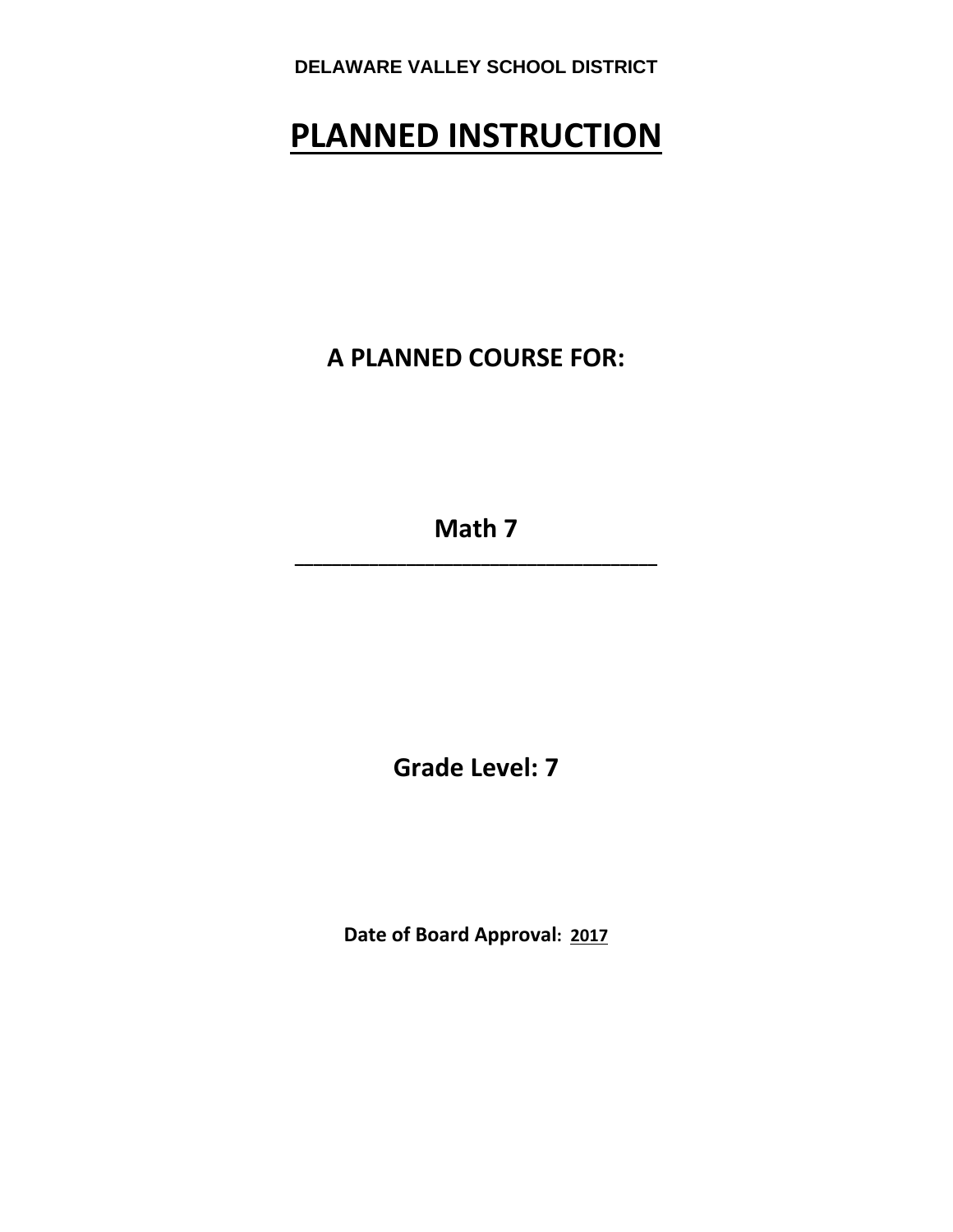# **PLANNED INSTRUCTION**

**A PLANNED COURSE FOR:**

**Math 7 \_\_\_\_\_\_\_\_\_\_\_\_\_\_\_\_\_\_\_\_\_\_\_\_\_\_\_\_\_\_\_\_\_\_\_\_\_\_\_**

**Grade Level: 7**

**Date of Board Approval: 2017**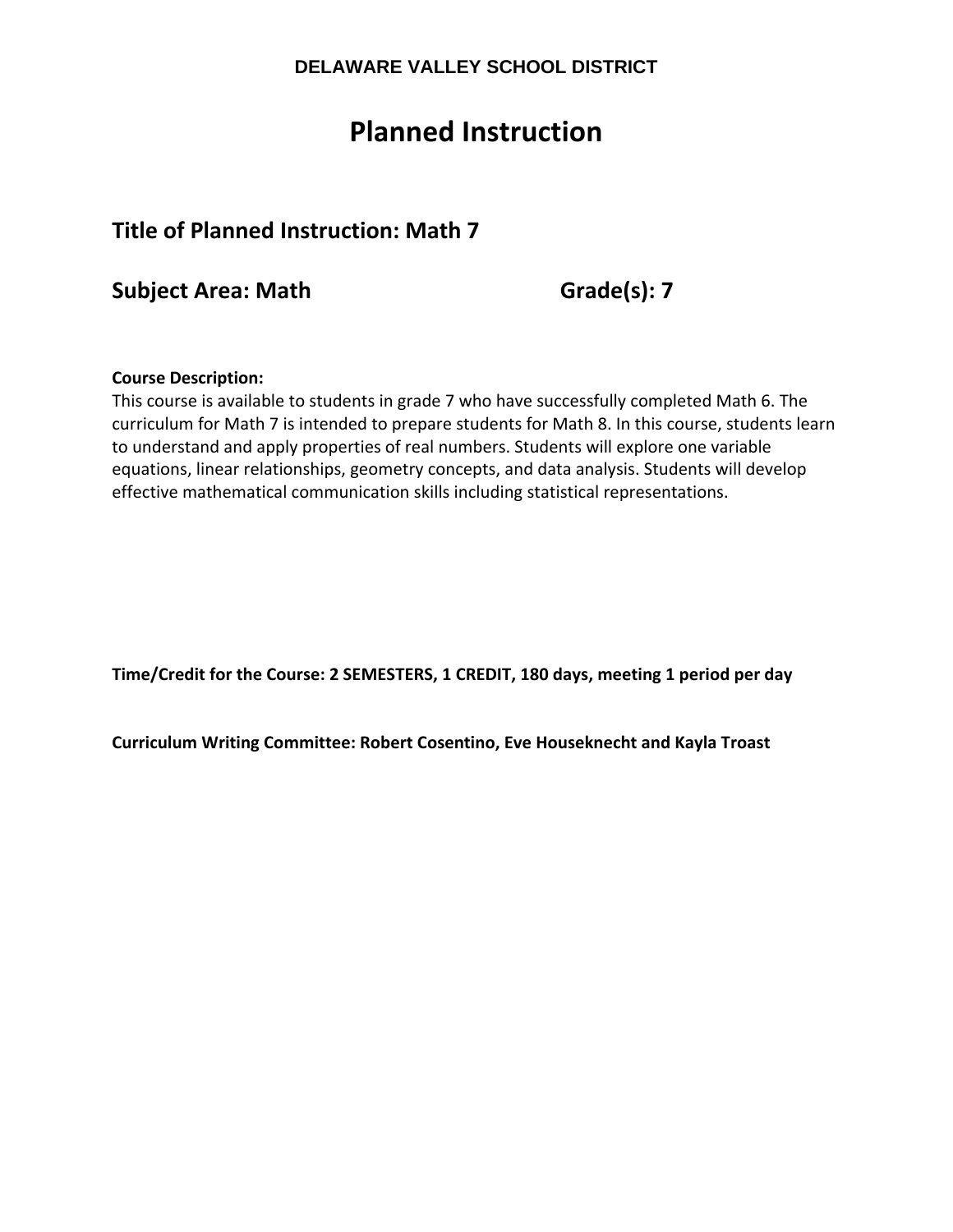# **Planned Instruction**

# **Title of Planned Instruction: Math 7**

**Subject Area: Math Grade(s): 7**

## **Course Description:**

This course is available to students in grade 7 who have successfully completed Math 6. The curriculum for Math 7 is intended to prepare students for Math 8. In this course, students learn to understand and apply properties of real numbers. Students will explore one variable equations, linear relationships, geometry concepts, and data analysis. Students will develop effective mathematical communication skills including statistical representations.

**Time/Credit for the Course: 2 SEMESTERS, 1 CREDIT, 180 days, meeting 1 period per day**

**Curriculum Writing Committee: Robert Cosentino, Eve Houseknecht and Kayla Troast**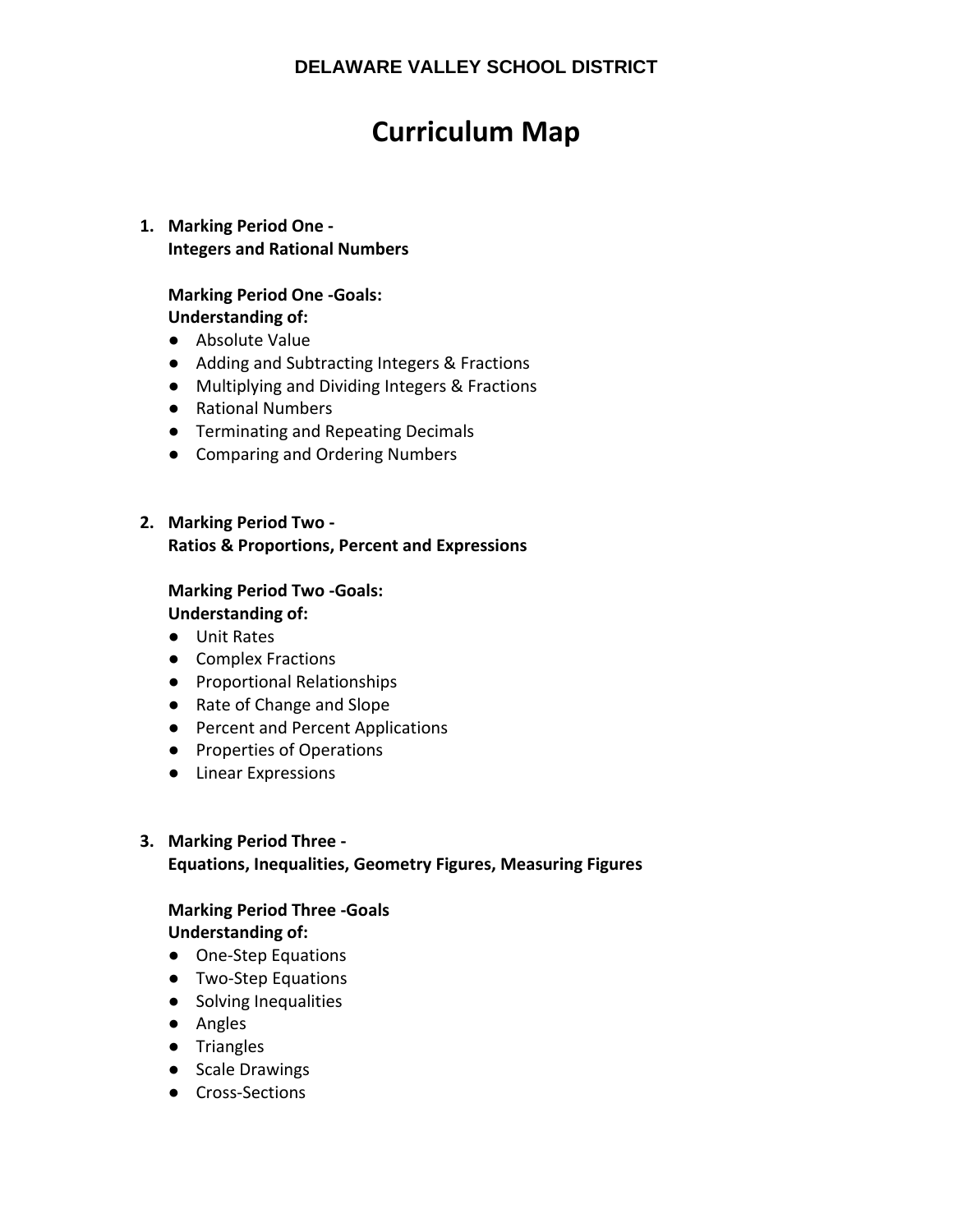# **Curriculum Map**

## **1. Marking Period One ‐ Integers and Rational Numbers**

## **Marking Period One ‐Goals: Understanding of:**

- Absolute Value
- Adding and Subtracting Integers & Fractions
- Multiplying and Dividing Integers & Fractions
- Rational Numbers
- Terminating and Repeating Decimals
- Comparing and Ordering Numbers

## **2. Marking Period Two ‐ Ratios & Proportions, Percent and Expressions**

## **Marking Period Two ‐Goals:**

**Understanding of:**

- Unit Rates
- Complex Fractions
- Proportional Relationships
- Rate of Change and Slope
- Percent and Percent Applications
- Properties of Operations
- Linear Expressions

## **3. Marking Period Three ‐**

### **Equations, Inequalities, Geometry Figures, Measuring Figures**

#### **Marking Period Three ‐Goals Understanding of:**

- One-Step Equations
- Two-Step Equations
- Solving Inequalities
- Angles
- Triangles
- Scale Drawings
- Cross-Sections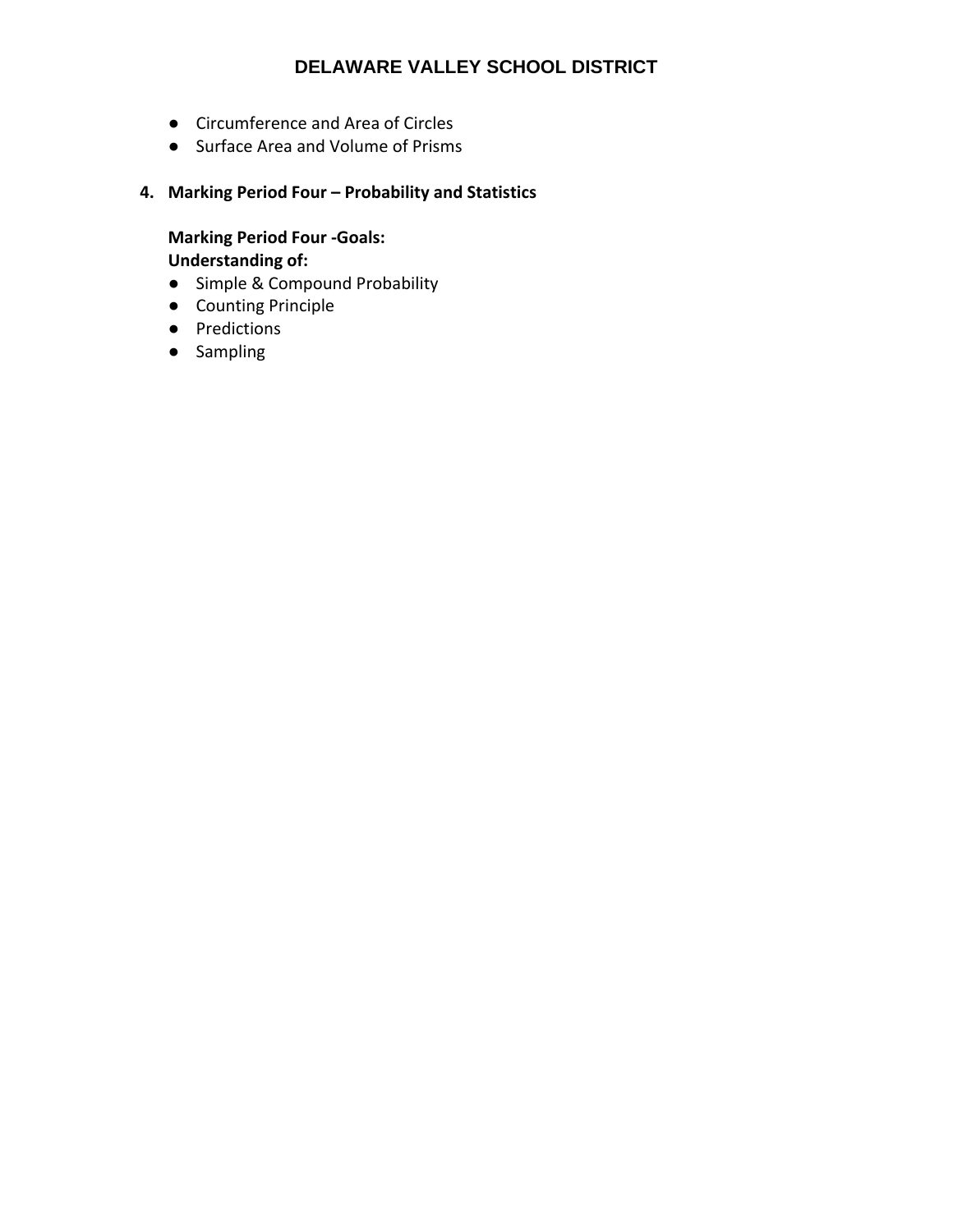- Circumference and Area of Circles
- Surface Area and Volume of Prisms
- **4. Marking Period Four – Probability and Statistics**

**Marking Period Four ‐Goals: Understanding of:**

- Simple & Compound Probability
- Counting Principle
- Predictions
- Sampling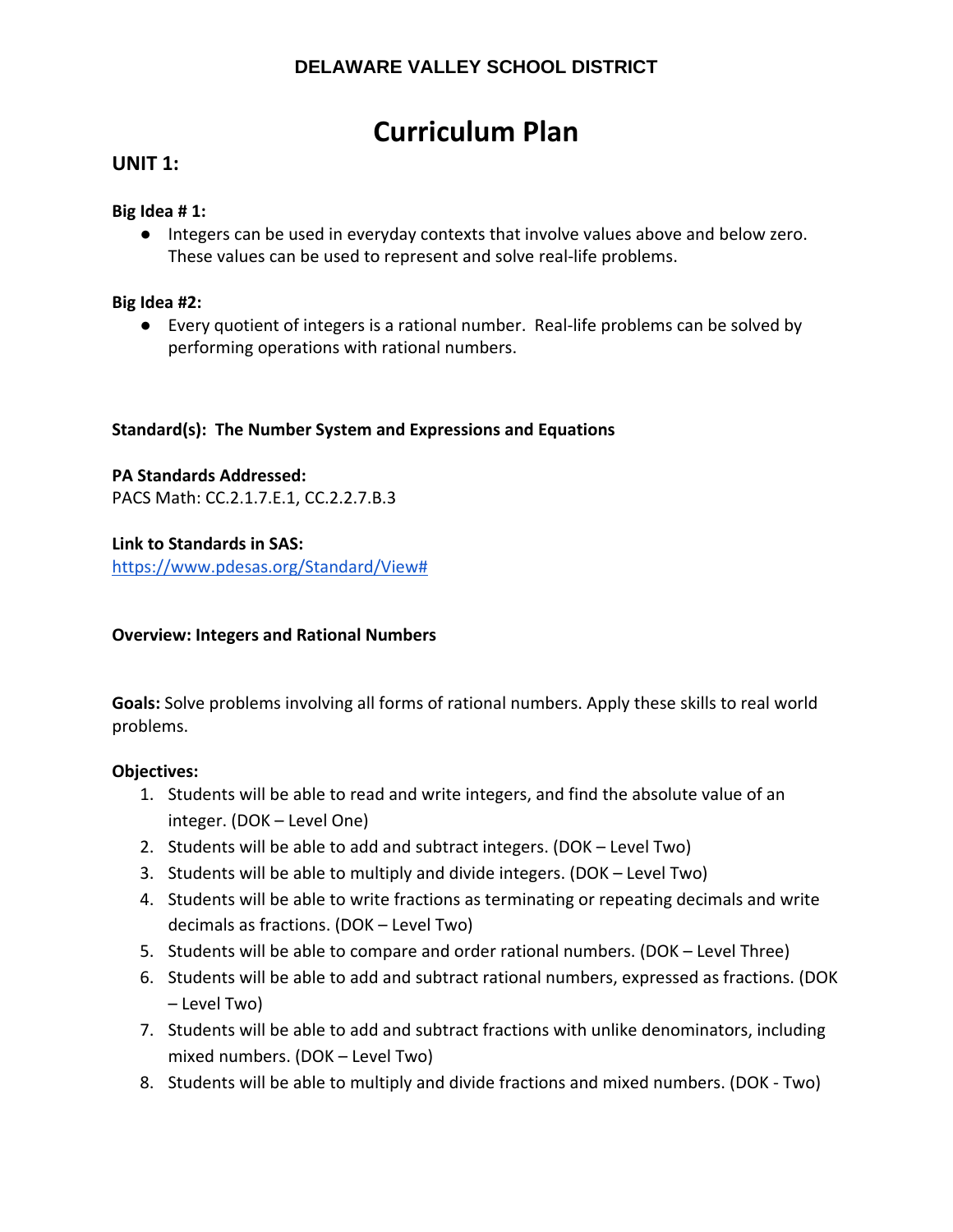# **Curriculum Plan**

## **UNIT 1:**

### **Big Idea # 1:**

● Integers can be used in everyday contexts that involve values above and below zero. These values can be used to represent and solve real‐life problems.

## **Big Idea #2:**

● Every quotient of integers is a rational number. Real-life problems can be solved by performing operations with rational numbers.

## **Standard(s): The Number System and Expressions and Equations**

**PA Standards Addressed:** PACS Math: CC.2.1.7.E.1, CC.2.2.7.B.3

#### **Link to Standards in SAS:**

https://www.pdesas.org/Standard/View#

#### **Overview: Integers and Rational Numbers**

**Goals:** Solve problems involving all forms of rational numbers. Apply these skills to real world problems.

#### **Objectives:**

- 1. Students will be able to read and write integers, and find the absolute value of an integer. (DOK – Level One)
- 2. Students will be able to add and subtract integers. (DOK Level Two)
- 3. Students will be able to multiply and divide integers. (DOK Level Two)
- 4. Students will be able to write fractions as terminating or repeating decimals and write decimals as fractions. (DOK – Level Two)
- 5. Students will be able to compare and order rational numbers. (DOK Level Three)
- 6. Students will be able to add and subtract rational numbers, expressed as fractions. (DOK – Level Two)
- 7. Students will be able to add and subtract fractions with unlike denominators, including mixed numbers. (DOK – Level Two)
- 8. Students will be able to multiply and divide fractions and mixed numbers. (DOK ‐ Two)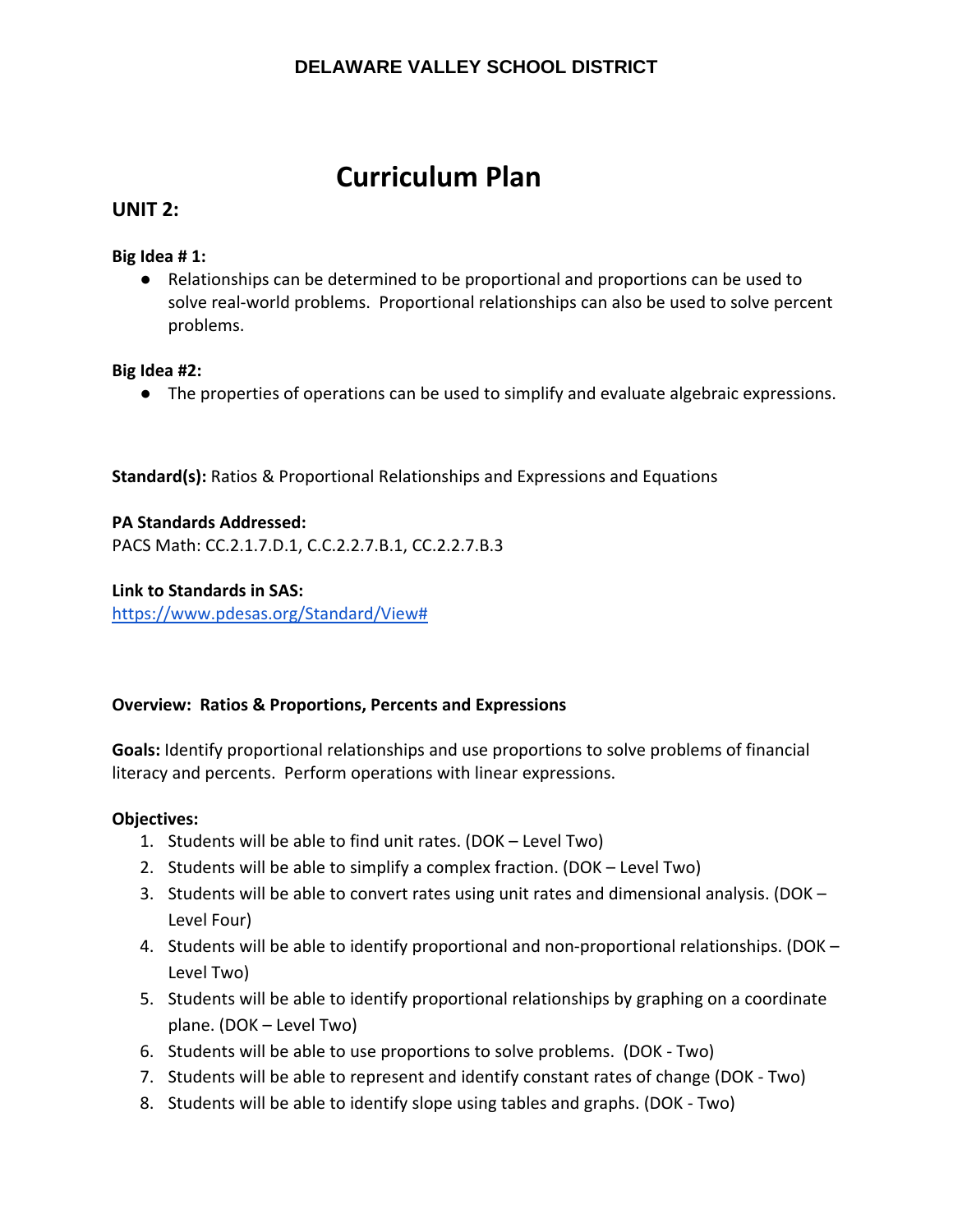# **Curriculum Plan**

## **UNIT 2:**

## **Big Idea # 1:**

● Relationships can be determined to be proportional and proportions can be used to solve real‐world problems. Proportional relationships can also be used to solve percent problems.

## **Big Idea #2:**

● The properties of operations can be used to simplify and evaluate algebraic expressions.

**Standard(s):** Ratios & Proportional Relationships and Expressions and Equations

**PA Standards Addressed:** PACS Math: CC.2.1.7.D.1, C.C.2.2.7.B.1, CC.2.2.7.B.3

**Link to Standards in SAS:** https://www.pdesas.org/Standard/View#

## **Overview: Ratios & Proportions, Percents and Expressions**

**Goals:** Identify proportional relationships and use proportions to solve problems of financial literacy and percents. Perform operations with linear expressions.

## **Objectives:**

- 1. Students will be able to find unit rates. (DOK Level Two)
- 2. Students will be able to simplify a complex fraction. (DOK Level Two)
- 3. Students will be able to convert rates using unit rates and dimensional analysis. (DOK Level Four)
- 4. Students will be able to identify proportional and non-proportional relationships. (DOK Level Two)
- 5. Students will be able to identify proportional relationships by graphing on a coordinate plane. (DOK – Level Two)
- 6. Students will be able to use proportions to solve problems. (DOK ‐ Two)
- 7. Students will be able to represent and identify constant rates of change (DOK ‐ Two)
- 8. Students will be able to identify slope using tables and graphs. (DOK ‐ Two)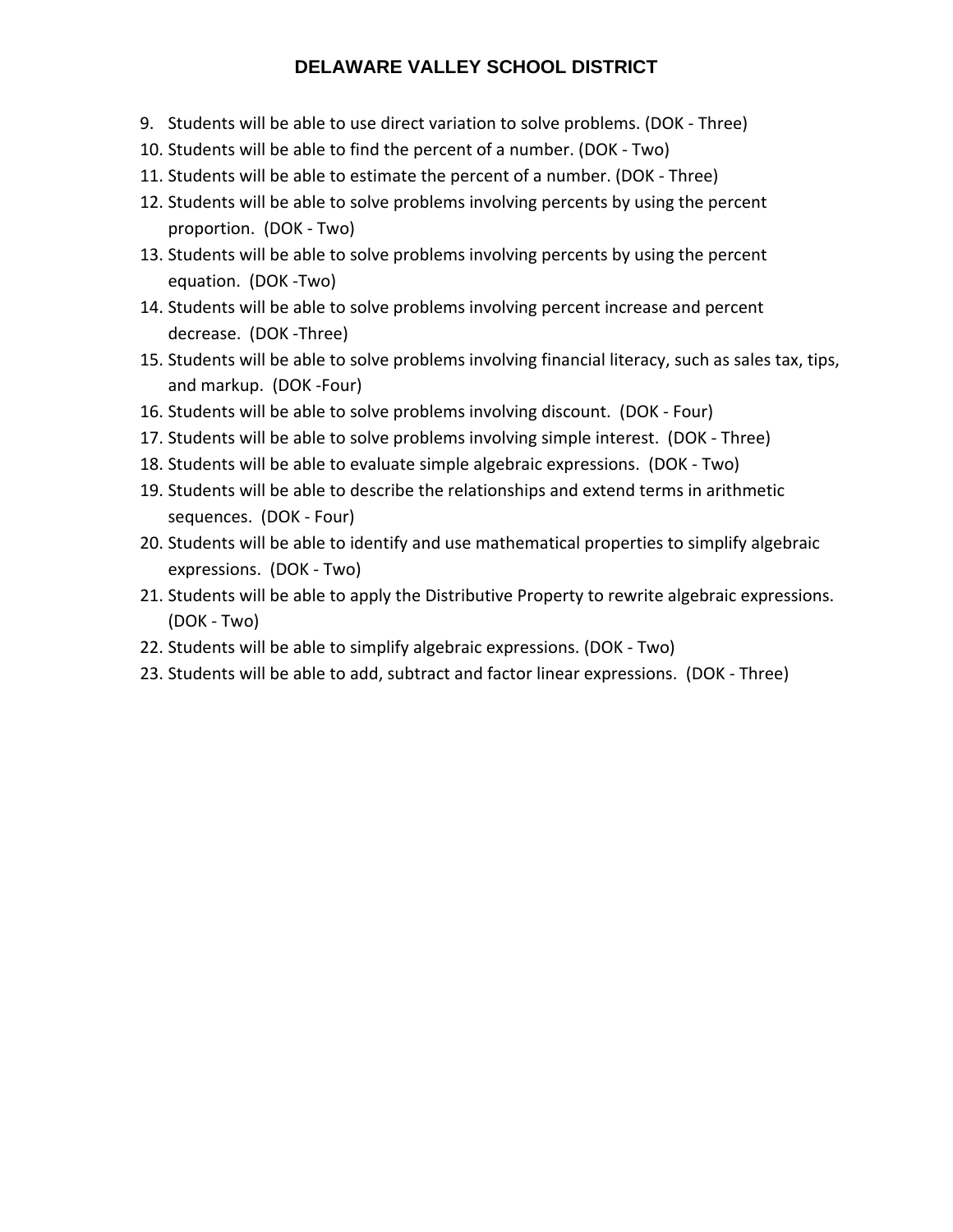- 9. Students will be able to use direct variation to solve problems. (DOK ‐ Three)
- 10. Students will be able to find the percent of a number. (DOK ‐ Two)
- 11. Students will be able to estimate the percent of a number. (DOK ‐ Three)
- 12. Students will be able to solve problems involving percents by using the percent proportion. (DOK ‐ Two)
- 13. Students will be able to solve problems involving percents by using the percent equation. (DOK ‐Two)
- 14. Students will be able to solve problems involving percent increase and percent decrease. (DOK ‐Three)
- 15. Students will be able to solve problems involving financial literacy, such as sales tax, tips, and markup. (DOK ‐Four)
- 16. Students will be able to solve problems involving discount. (DOK ‐ Four)
- 17. Students will be able to solve problems involving simple interest. (DOK ‐ Three)
- 18. Students will be able to evaluate simple algebraic expressions. (DOK ‐ Two)
- 19. Students will be able to describe the relationships and extend terms in arithmetic sequences. (DOK ‐ Four)
- 20. Students will be able to identify and use mathematical properties to simplify algebraic expressions. (DOK ‐ Two)
- 21. Students will be able to apply the Distributive Property to rewrite algebraic expressions. (DOK ‐ Two)
- 22. Students will be able to simplify algebraic expressions. (DOK ‐ Two)
- 23. Students will be able to add, subtract and factor linear expressions. (DOK ‐ Three)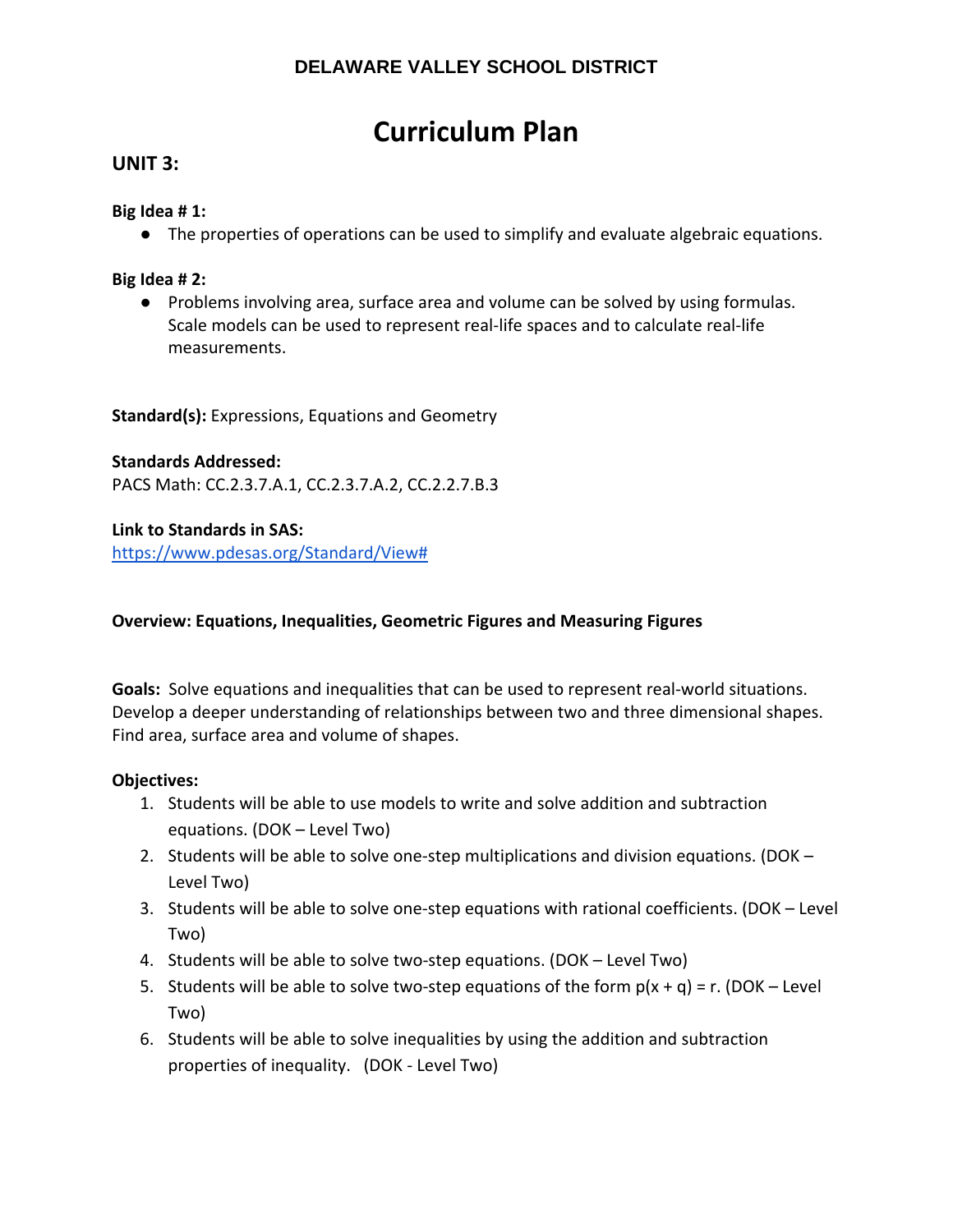# **Curriculum Plan**

## **UNIT 3:**

## **Big Idea # 1:**

● The properties of operations can be used to simplify and evaluate algebraic equations.

## **Big Idea # 2:**

● Problems involving area, surface area and volume can be solved by using formulas. Scale models can be used to represent real‐life spaces and to calculate real‐life measurements.

**Standard(s):** Expressions, Equations and Geometry

## **Standards Addressed:**

PACS Math: CC.2.3.7.A.1, CC.2.3.7.A.2, CC.2.2.7.B.3

## **Link to Standards in SAS:**

https://www.pdesas.org/Standard/View#

## **Overview: Equations, Inequalities, Geometric Figures and Measuring Figures**

**Goals:** Solve equations and inequalities that can be used to represent real‐world situations. Develop a deeper understanding of relationships between two and three dimensional shapes. Find area, surface area and volume of shapes.

#### **Objectives:**

- 1. Students will be able to use models to write and solve addition and subtraction equations. (DOK – Level Two)
- 2. Students will be able to solve one-step multiplications and division equations. (DOK Level Two)
- 3. Students will be able to solve one‐step equations with rational coefficients. (DOK Level Two)
- 4. Students will be able to solve two-step equations. (DOK Level Two)
- 5. Students will be able to solve two-step equations of the form  $p(x + q) = r$ . (DOK Level Two)
- 6. Students will be able to solve inequalities by using the addition and subtraction properties of inequality. (DOK ‐ Level Two)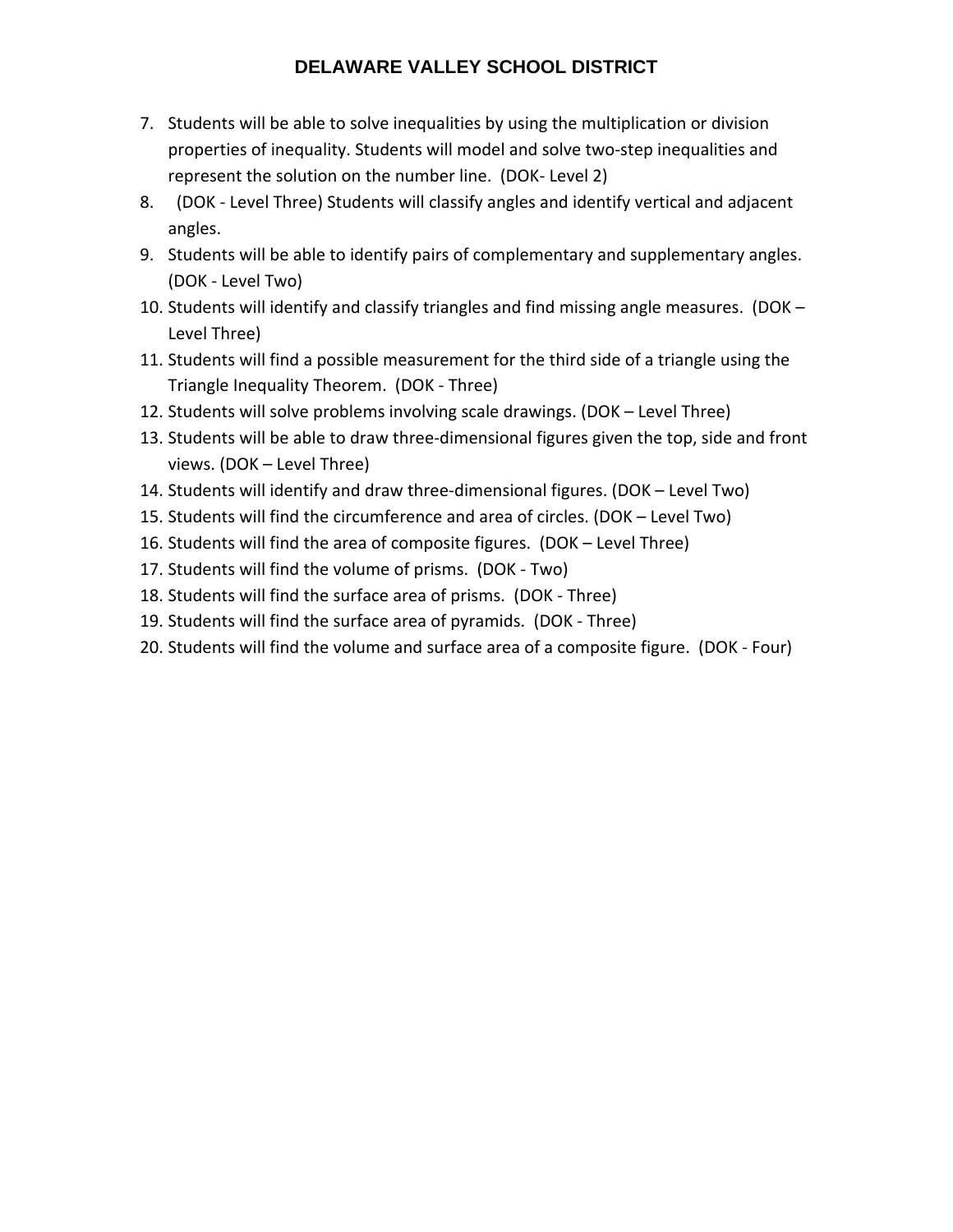- 7. Students will be able to solve inequalities by using the multiplication or division properties of inequality. Students will model and solve two‐step inequalities and represent the solution on the number line. (DOK‐ Level 2)
- 8. (DOK ‐ Level Three) Students will classify angles and identify vertical and adjacent angles.
- 9. Students will be able to identify pairs of complementary and supplementary angles. (DOK ‐ Level Two)
- 10. Students will identify and classify triangles and find missing angle measures. (DOK Level Three)
- 11. Students will find a possible measurement for the third side of a triangle using the Triangle Inequality Theorem. (DOK ‐ Three)
- 12. Students will solve problems involving scale drawings. (DOK Level Three)
- 13. Students will be able to draw three‐dimensional figures given the top, side and front views. (DOK – Level Three)
- 14. Students will identify and draw three‐dimensional figures. (DOK Level Two)
- 15. Students will find the circumference and area of circles. (DOK Level Two)
- 16. Students will find the area of composite figures. (DOK Level Three)
- 17. Students will find the volume of prisms. (DOK ‐ Two)
- 18. Students will find the surface area of prisms. (DOK ‐ Three)
- 19. Students will find the surface area of pyramids. (DOK ‐ Three)
- 20. Students will find the volume and surface area of a composite figure. (DOK ‐ Four)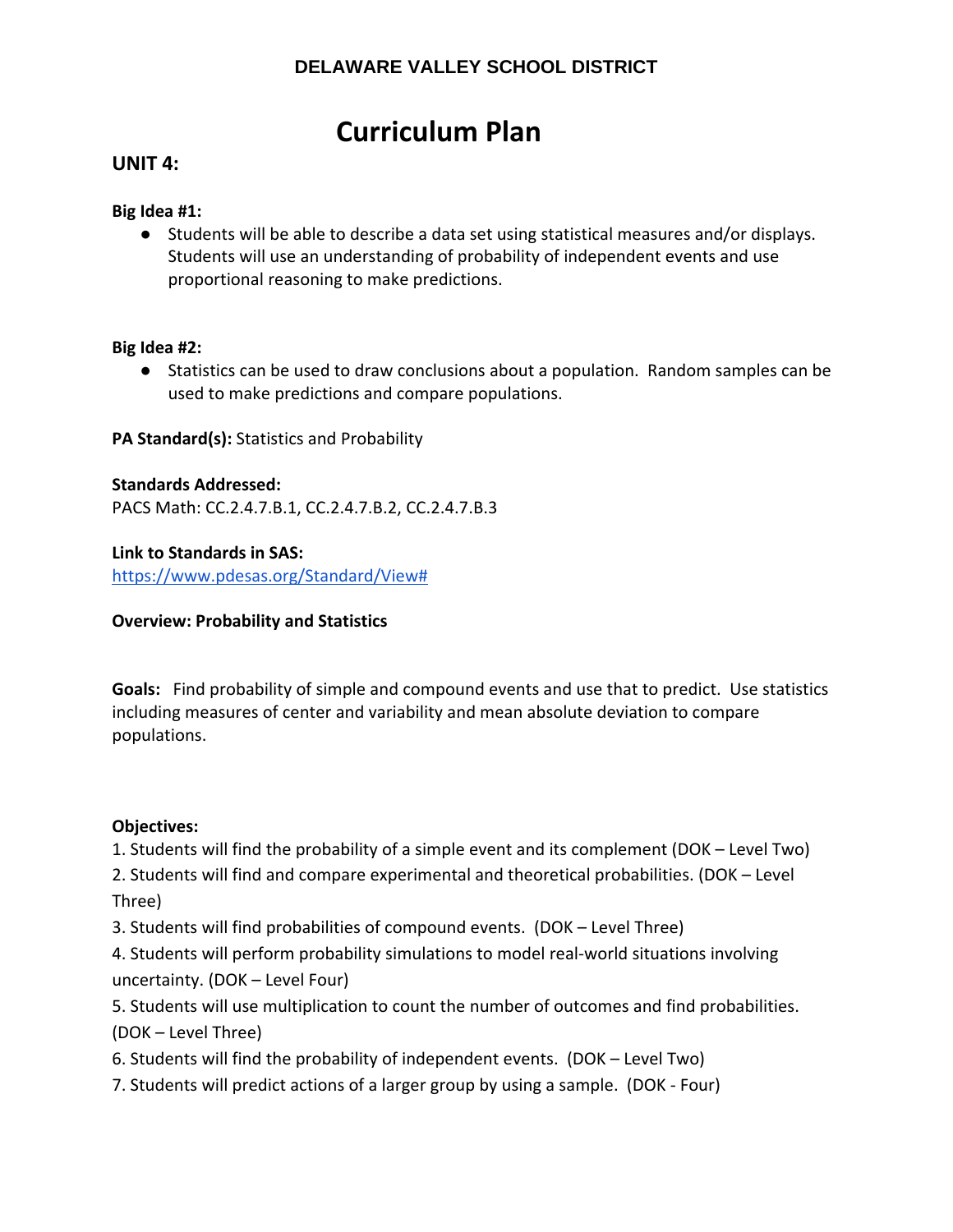# **Curriculum Plan**

## **UNIT 4:**

### **Big Idea #1:**

● Students will be able to describe a data set using statistical measures and/or displays. Students will use an understanding of probability of independent events and use proportional reasoning to make predictions.

#### **Big Idea #2:**

● Statistics can be used to draw conclusions about a population. Random samples can be used to make predictions and compare populations.

## **PA Standard(s):** Statistics and Probability

## **Standards Addressed:**

PACS Math: CC.2.4.7.B.1, CC.2.4.7.B.2, CC.2.4.7.B.3

#### **Link to Standards in SAS:**

https://www.pdesas.org/Standard/View#

### **Overview: Probability and Statistics**

**Goals:** Find probability of simple and compound events and use that to predict. Use statistics including measures of center and variability and mean absolute deviation to compare populations.

#### **Objectives:**

1. Students will find the probability of a simple event and its complement (DOK – Level Two)

2. Students will find and compare experimental and theoretical probabilities. (DOK – Level Three)

3. Students will find probabilities of compound events. (DOK – Level Three)

4. Students will perform probability simulations to model real‐world situations involving uncertainty. (DOK – Level Four)

5. Students will use multiplication to count the number of outcomes and find probabilities. (DOK – Level Three)

- 6. Students will find the probability of independent events. (DOK Level Two)
- 7. Students will predict actions of a larger group by using a sample. (DOK ‐ Four)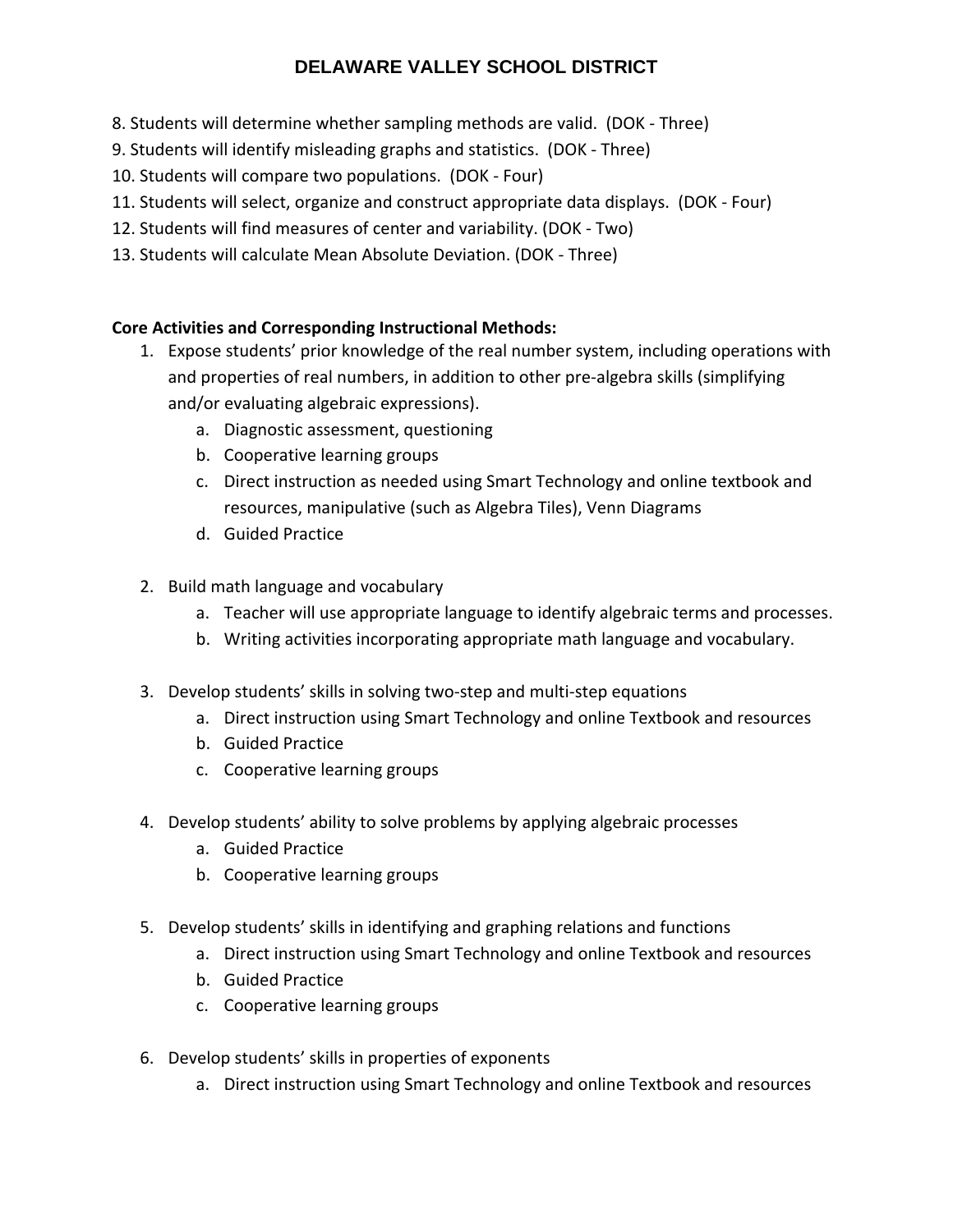- 8. Students will determine whether sampling methods are valid. (DOK ‐ Three)
- 9. Students will identify misleading graphs and statistics. (DOK ‐ Three)
- 10. Students will compare two populations. (DOK ‐ Four)
- 11. Students will select, organize and construct appropriate data displays. (DOK ‐ Four)
- 12. Students will find measures of center and variability. (DOK ‐ Two)
- 13. Students will calculate Mean Absolute Deviation. (DOK ‐ Three)

## **Core Activities and Corresponding Instructional Methods:**

- 1. Expose students' prior knowledge of the real number system, including operations with and properties of real numbers, in addition to other pre‐algebra skills (simplifying and/or evaluating algebraic expressions).
	- a. Diagnostic assessment, questioning
	- b. Cooperative learning groups
	- c. Direct instruction as needed using Smart Technology and online textbook and resources, manipulative (such as Algebra Tiles), Venn Diagrams
	- d. Guided Practice
- 2. Build math language and vocabulary
	- a. Teacher will use appropriate language to identify algebraic terms and processes.
	- b. Writing activities incorporating appropriate math language and vocabulary.
- 3. Develop students' skills in solving two‐step and multi‐step equations
	- a. Direct instruction using Smart Technology and online Textbook and resources
	- b. Guided Practice
	- c. Cooperative learning groups
- 4. Develop students' ability to solve problems by applying algebraic processes
	- a. Guided Practice
	- b. Cooperative learning groups
- 5. Develop students' skills in identifying and graphing relations and functions
	- a. Direct instruction using Smart Technology and online Textbook and resources
	- b. Guided Practice
	- c. Cooperative learning groups
- 6. Develop students' skills in properties of exponents
	- a. Direct instruction using Smart Technology and online Textbook and resources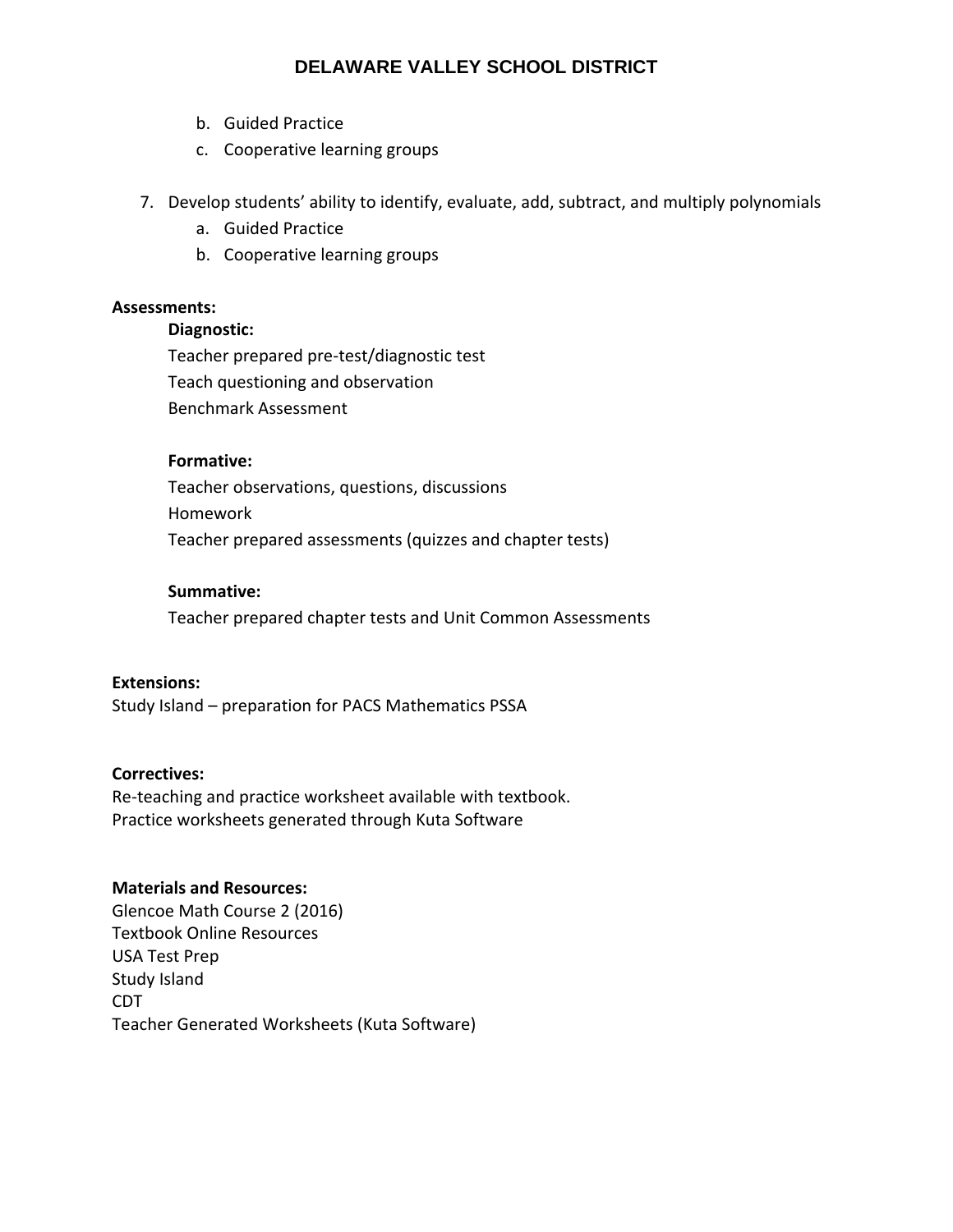- b. Guided Practice
- c. Cooperative learning groups
- 7. Develop students' ability to identify, evaluate, add, subtract, and multiply polynomials
	- a. Guided Practice
	- b. Cooperative learning groups

#### **Assessments:**

#### **Diagnostic:**

Teacher prepared pre‐test/diagnostic test Teach questioning and observation Benchmark Assessment

#### **Formative:**

Teacher observations, questions, discussions Homework Teacher prepared assessments (quizzes and chapter tests)

## **Summative:**

Teacher prepared chapter tests and Unit Common Assessments

#### **Extensions:**

Study Island – preparation for PACS Mathematics PSSA

#### **Correctives:**

Re‐teaching and practice worksheet available with textbook. Practice worksheets generated through Kuta Software

## **Materials and Resources:**

Glencoe Math Course 2 (2016) Textbook Online Resources USA Test Prep Study Island CDT Teacher Generated Worksheets (Kuta Software)